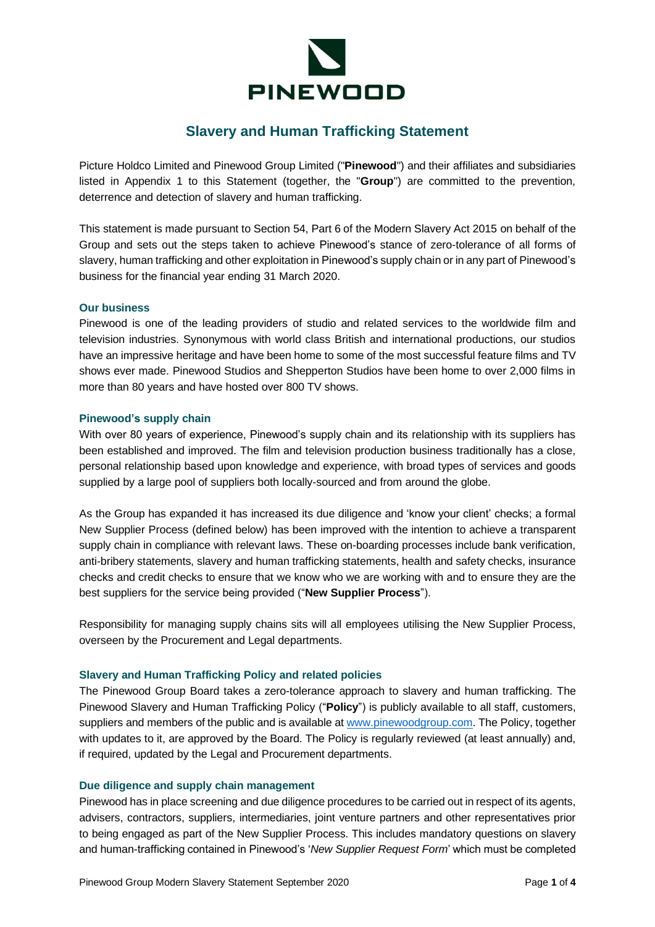

# **Slavery and Human Trafficking Statement**

Picture Holdco Limited and Pinewood Group Limited ("**Pinewood**") and their affiliates and subsidiaries listed in Appendix 1 to this Statement (together, the "**Group**") are committed to the prevention, deterrence and detection of slavery and human trafficking.

This statement is made pursuant to Section 54, Part 6 of the Modern Slavery Act 2015 on behalf of the Group and sets out the steps taken to achieve Pinewood's stance of zero-tolerance of all forms of slavery, human trafficking and other exploitation in Pinewood's supply chain or in any part of Pinewood's business for the financial year ending 31 March 2020.

#### **Our business**

Pinewood is one of the leading providers of studio and related services to the worldwide film and television industries. Synonymous with world class British and international productions, our studios have an impressive heritage and have been home to some of the most successful feature films and TV shows ever made. Pinewood Studios and Shepperton Studios have been home to over 2,000 films in more than 80 years and have hosted over 800 TV shows.

#### **Pinewood's supply chain**

With over 80 years of experience, Pinewood's supply chain and its relationship with its suppliers has been established and improved. The film and television production business traditionally has a close, personal relationship based upon knowledge and experience, with broad types of services and goods supplied by a large pool of suppliers both locally-sourced and from around the globe.

As the Group has expanded it has increased its due diligence and 'know your client' checks; a formal New Supplier Process (defined below) has been improved with the intention to achieve a transparent supply chain in compliance with relevant laws. These on-boarding processes include bank verification, anti-bribery statements, slavery and human trafficking statements, health and safety checks, insurance checks and credit checks to ensure that we know who we are working with and to ensure they are the best suppliers for the service being provided ("**New Supplier Process**").

Responsibility for managing supply chains sits will all employees utilising the New Supplier Process, overseen by the Procurement and Legal departments.

## **Slavery and Human Trafficking Policy and related policies**

The Pinewood Group Board takes a zero-tolerance approach to slavery and human trafficking. The Pinewood Slavery and Human Trafficking Policy ("**Policy**") is publicly available to all staff, customers, suppliers and members of the public and is available at [www.pinewoodgroup.com.](http://www.pinewoodgroup.com/) The Policy, together with updates to it, are approved by the Board. The Policy is regularly reviewed (at least annually) and, if required, updated by the Legal and Procurement departments.

## **Due diligence and supply chain management**

Pinewood has in place screening and due diligence procedures to be carried out in respect of its agents, advisers, contractors, suppliers, intermediaries, joint venture partners and other representatives prior to being engaged as part of the New Supplier Process. This includes mandatory questions on slavery and human-trafficking contained in Pinewood's '*New Supplier Request Form*' which must be completed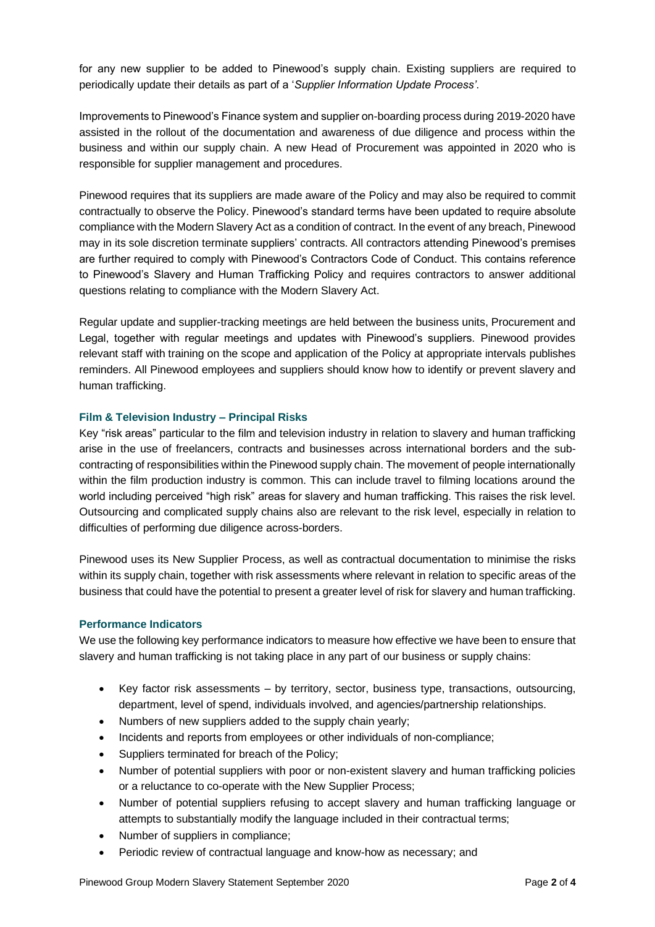for any new supplier to be added to Pinewood's supply chain. Existing suppliers are required to periodically update their details as part of a '*Supplier Information Update Process'*.

Improvements to Pinewood's Finance system and supplier on-boarding process during 2019-2020 have assisted in the rollout of the documentation and awareness of due diligence and process within the business and within our supply chain. A new Head of Procurement was appointed in 2020 who is responsible for supplier management and procedures.

Pinewood requires that its suppliers are made aware of the Policy and may also be required to commit contractually to observe the Policy. Pinewood's standard terms have been updated to require absolute compliance with the Modern Slavery Act as a condition of contract. In the event of any breach, Pinewood may in its sole discretion terminate suppliers' contracts. All contractors attending Pinewood's premises are further required to comply with Pinewood's Contractors Code of Conduct. This contains reference to Pinewood's Slavery and Human Trafficking Policy and requires contractors to answer additional questions relating to compliance with the Modern Slavery Act.

Regular update and supplier-tracking meetings are held between the business units, Procurement and Legal, together with regular meetings and updates with Pinewood's suppliers. Pinewood provides relevant staff with training on the scope and application of the Policy at appropriate intervals publishes reminders. All Pinewood employees and suppliers should know how to identify or prevent slavery and human trafficking.

## **Film & Television Industry – Principal Risks**

Key "risk areas" particular to the film and television industry in relation to slavery and human trafficking arise in the use of freelancers, contracts and businesses across international borders and the subcontracting of responsibilities within the Pinewood supply chain. The movement of people internationally within the film production industry is common. This can include travel to filming locations around the world including perceived "high risk" areas for slavery and human trafficking. This raises the risk level. Outsourcing and complicated supply chains also are relevant to the risk level, especially in relation to difficulties of performing due diligence across-borders.

Pinewood uses its New Supplier Process, as well as contractual documentation to minimise the risks within its supply chain, together with risk assessments where relevant in relation to specific areas of the business that could have the potential to present a greater level of risk for slavery and human trafficking.

## **Performance Indicators**

We use the following key performance indicators to measure how effective we have been to ensure that slavery and human trafficking is not taking place in any part of our business or supply chains:

- Key factor risk assessments by territory, sector, business type, transactions, outsourcing, department, level of spend, individuals involved, and agencies/partnership relationships.
- Numbers of new suppliers added to the supply chain yearly;
- Incidents and reports from employees or other individuals of non-compliance;
- Suppliers terminated for breach of the Policy:
- Number of potential suppliers with poor or non-existent slavery and human trafficking policies or a reluctance to co-operate with the New Supplier Process;
- Number of potential suppliers refusing to accept slavery and human trafficking language or attempts to substantially modify the language included in their contractual terms;
- Number of suppliers in compliance;
- Periodic review of contractual language and know-how as necessary; and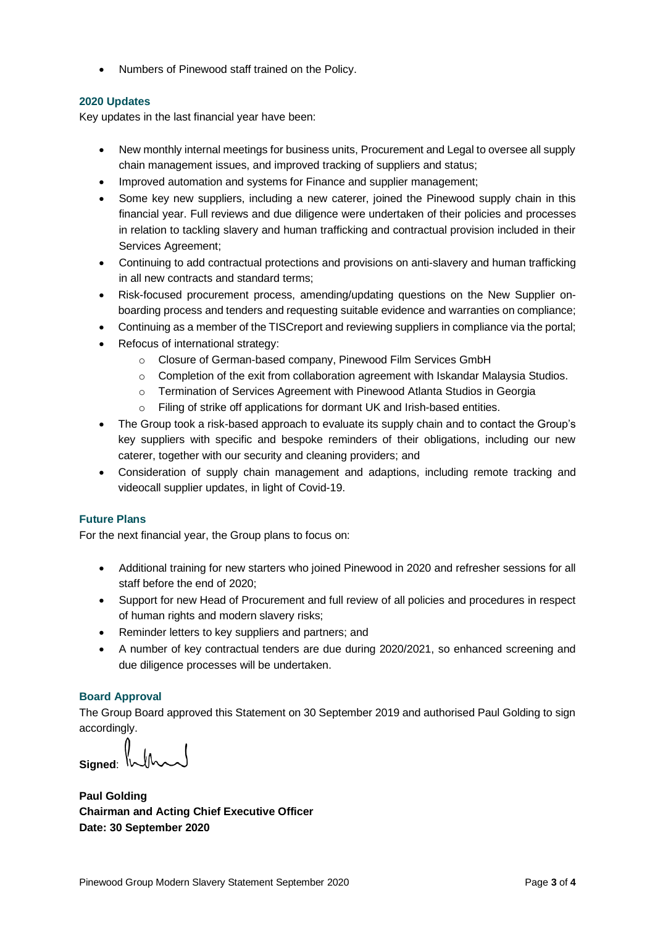• Numbers of Pinewood staff trained on the Policy.

## **2020 Updates**

Key updates in the last financial year have been:

- New monthly internal meetings for business units, Procurement and Legal to oversee all supply chain management issues, and improved tracking of suppliers and status;
- Improved automation and systems for Finance and supplier management;
- Some key new suppliers, including a new caterer, joined the Pinewood supply chain in this financial year. Full reviews and due diligence were undertaken of their policies and processes in relation to tackling slavery and human trafficking and contractual provision included in their Services Agreement;
- Continuing to add contractual protections and provisions on anti-slavery and human trafficking in all new contracts and standard terms;
- Risk-focused procurement process, amending/updating questions on the New Supplier onboarding process and tenders and requesting suitable evidence and warranties on compliance;
- Continuing as a member of the TISCreport and reviewing suppliers in compliance via the portal;
- Refocus of international strategy:
	- o Closure of German-based company, Pinewood Film Services GmbH
	- o Completion of the exit from collaboration agreement with Iskandar Malaysia Studios.
	- o Termination of Services Agreement with Pinewood Atlanta Studios in Georgia
	- o Filing of strike off applications for dormant UK and Irish-based entities.
- The Group took a risk-based approach to evaluate its supply chain and to contact the Group's key suppliers with specific and bespoke reminders of their obligations, including our new caterer, together with our security and cleaning providers; and
- Consideration of supply chain management and adaptions, including remote tracking and videocall supplier updates, in light of Covid-19.

# **Future Plans**

For the next financial year, the Group plans to focus on:

- Additional training for new starters who joined Pinewood in 2020 and refresher sessions for all staff before the end of 2020;
- Support for new Head of Procurement and full review of all policies and procedures in respect of human rights and modern slavery risks;
- Reminder letters to key suppliers and partners; and
- A number of key contractual tenders are due during 2020/2021, so enhanced screening and due diligence processes will be undertaken.

# **Board Approval**

The Group Board approved this Statement on 30 September 2019 and authorised Paul Golding to sign accordingly.

Signed: V

**Paul Golding Chairman and Acting Chief Executive Officer Date: 30 September 2020**